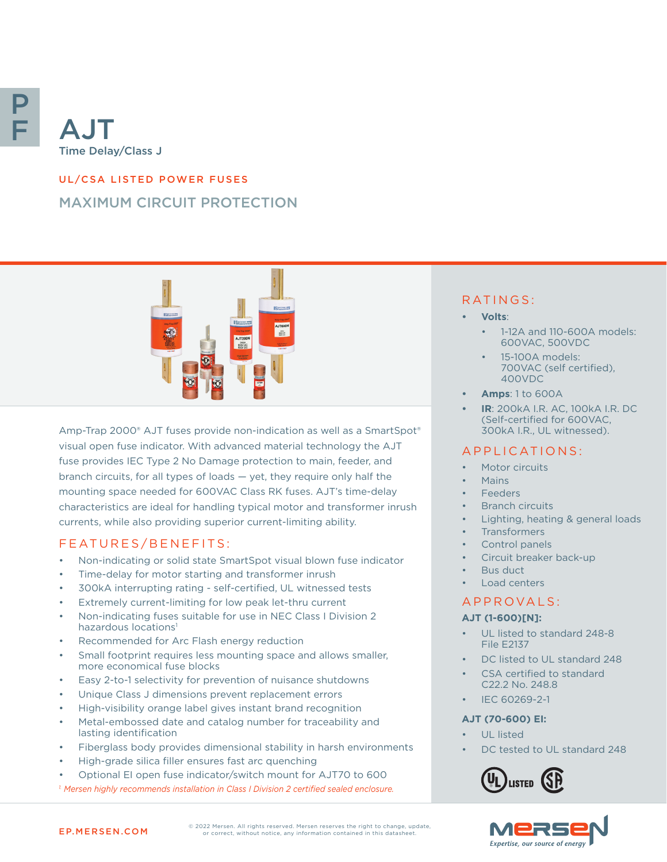

# UL/CSA LISTED POWER FUSES

# MAXIMUM CIRCUIT PROTECTION



Amp-Trap 2000® AJT fuses provide non-indication as well as a SmartSpot® visual open fuse indicator. With advanced material technology the AJT fuse provides IEC Type 2 No Damage protection to main, feeder, and branch circuits, for all types of loads — yet, they require only half the mounting space needed for 600VAC Class RK fuses. AJT's time-delay characteristics are ideal for handling typical motor and transformer inrush currents, while also providing superior current-limiting ability.

## FEATURES/BENEFITS:

- Non-indicating or solid state SmartSpot visual blown fuse indicator
- Time-delay for motor starting and transformer inrush
- 300kA interrupting rating self-certified, UL witnessed tests
- Extremely current-limiting for low peak let-thru current
- Non-indicating fuses suitable for use in NEC Class I Division 2 hazardous locations<sup>1</sup>
- Recommended for Arc Flash energy reduction
- Small footprint requires less mounting space and allows smaller. more economical fuse blocks
- Easy 2-to-1 selectivity for prevention of nuisance shutdowns
- Unique Class J dimensions prevent replacement errors
- High-visibility orange label gives instant brand recognition
- Metal-embossed date and catalog number for traceability and lasting identification
- Fiberglass body provides dimensional stability in harsh environments
- High-grade silica filler ensures fast arc quenching
- Optional EI open fuse indicator/switch mount for AJT70 to 600 *1. Mersen highly recommends installation in Class I Division 2 certified sealed enclosure.*

## RATINGS:

- **• Volts**:
	- 1-12A and 110-600A models: 600VAC, 500VDC
	- 15-100A models: 700VAC (self certified), 400VDC
- **• Amps**: 1 to 600A
- **• IR**: 200kA I.R. AC, 100kA I.R. DC (Self-certified for 600VAC, 300kA I.R., UL witnessed).

## APPLICATIONS:

- Motor circuits
- Mains
- **Feeders**
- Branch circuits
- Lighting, heating & general loads
- **Transformers**
- Control panels
- Circuit breaker back-up
- Bus duct
	- Load centers

#### A P P R OVA L S :

#### **AJT (1-600)[N]:**

- UL listed to standard 248-8 File E2137
- DC listed to UL standard 248
- CSA certified to standard C22.2 No. 248.8
- IEC 60269-2-1

#### **AJT (70-600) EI:**

- UL listed
- DC tested to UL standard 248